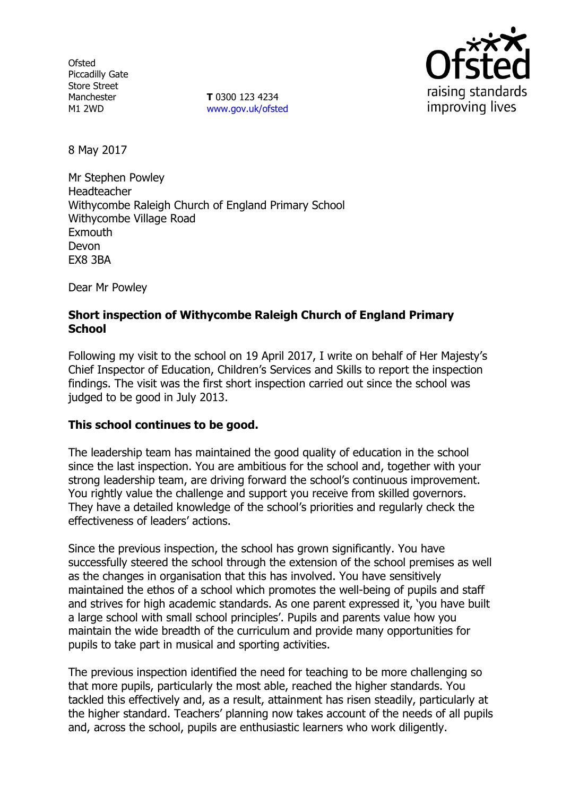**Ofsted** Piccadilly Gate Store Street Manchester M1 2WD

**T** 0300 123 4234 www.gov.uk/ofsted



8 May 2017

Mr Stephen Powley Headteacher Withycombe Raleigh Church of England Primary School Withycombe Village Road **Exmouth** Devon EX8 3BA

Dear Mr Powley

## **Short inspection of Withycombe Raleigh Church of England Primary School**

Following my visit to the school on 19 April 2017, I write on behalf of Her Majesty's Chief Inspector of Education, Children's Services and Skills to report the inspection findings. The visit was the first short inspection carried out since the school was judged to be good in July 2013.

### **This school continues to be good.**

The leadership team has maintained the good quality of education in the school since the last inspection. You are ambitious for the school and, together with your strong leadership team, are driving forward the school's continuous improvement. You rightly value the challenge and support you receive from skilled governors. They have a detailed knowledge of the school's priorities and regularly check the effectiveness of leaders' actions.

Since the previous inspection, the school has grown significantly. You have successfully steered the school through the extension of the school premises as well as the changes in organisation that this has involved. You have sensitively maintained the ethos of a school which promotes the well-being of pupils and staff and strives for high academic standards. As one parent expressed it, 'you have built a large school with small school principles'. Pupils and parents value how you maintain the wide breadth of the curriculum and provide many opportunities for pupils to take part in musical and sporting activities.

The previous inspection identified the need for teaching to be more challenging so that more pupils, particularly the most able, reached the higher standards. You tackled this effectively and, as a result, attainment has risen steadily, particularly at the higher standard. Teachers' planning now takes account of the needs of all pupils and, across the school, pupils are enthusiastic learners who work diligently.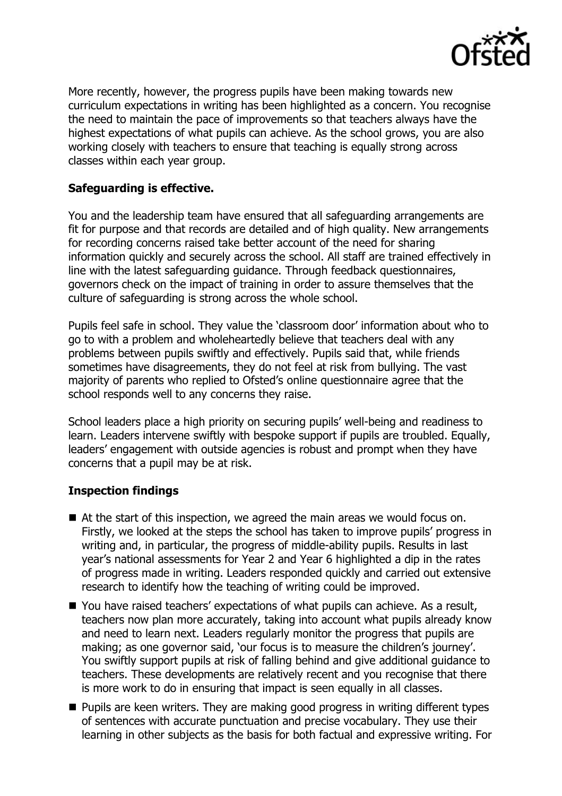

More recently, however, the progress pupils have been making towards new curriculum expectations in writing has been highlighted as a concern. You recognise the need to maintain the pace of improvements so that teachers always have the highest expectations of what pupils can achieve. As the school grows, you are also working closely with teachers to ensure that teaching is equally strong across classes within each year group.

### **Safeguarding is effective.**

You and the leadership team have ensured that all safeguarding arrangements are fit for purpose and that records are detailed and of high quality. New arrangements for recording concerns raised take better account of the need for sharing information quickly and securely across the school. All staff are trained effectively in line with the latest safeguarding guidance. Through feedback questionnaires, governors check on the impact of training in order to assure themselves that the culture of safeguarding is strong across the whole school.

Pupils feel safe in school. They value the 'classroom door' information about who to go to with a problem and wholeheartedly believe that teachers deal with any problems between pupils swiftly and effectively. Pupils said that, while friends sometimes have disagreements, they do not feel at risk from bullying. The vast majority of parents who replied to Ofsted's online questionnaire agree that the school responds well to any concerns they raise.

School leaders place a high priority on securing pupils' well-being and readiness to learn. Leaders intervene swiftly with bespoke support if pupils are troubled. Equally, leaders' engagement with outside agencies is robust and prompt when they have concerns that a pupil may be at risk.

### **Inspection findings**

- At the start of this inspection, we agreed the main areas we would focus on. Firstly, we looked at the steps the school has taken to improve pupils' progress in writing and, in particular, the progress of middle-ability pupils. Results in last year's national assessments for Year 2 and Year 6 highlighted a dip in the rates of progress made in writing. Leaders responded quickly and carried out extensive research to identify how the teaching of writing could be improved.
- You have raised teachers' expectations of what pupils can achieve. As a result, teachers now plan more accurately, taking into account what pupils already know and need to learn next. Leaders regularly monitor the progress that pupils are making; as one governor said, 'our focus is to measure the children's journey'. You swiftly support pupils at risk of falling behind and give additional guidance to teachers. These developments are relatively recent and you recognise that there is more work to do in ensuring that impact is seen equally in all classes.
- **Pupils are keen writers. They are making good progress in writing different types** of sentences with accurate punctuation and precise vocabulary. They use their learning in other subjects as the basis for both factual and expressive writing. For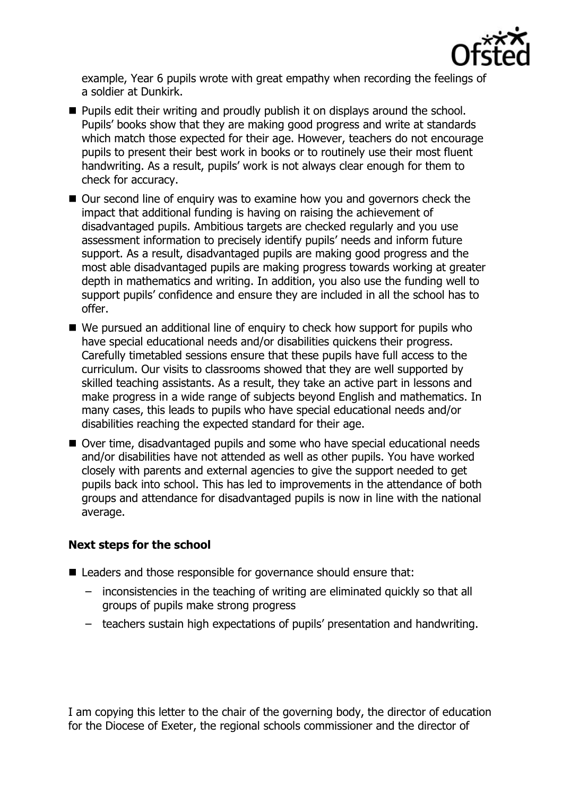

example, Year 6 pupils wrote with great empathy when recording the feelings of a soldier at Dunkirk.

- **Pupils edit their writing and proudly publish it on displays around the school.** Pupils' books show that they are making good progress and write at standards which match those expected for their age. However, teachers do not encourage pupils to present their best work in books or to routinely use their most fluent handwriting. As a result, pupils' work is not always clear enough for them to check for accuracy.
- Our second line of enquiry was to examine how you and governors check the impact that additional funding is having on raising the achievement of disadvantaged pupils. Ambitious targets are checked regularly and you use assessment information to precisely identify pupils' needs and inform future support. As a result, disadvantaged pupils are making good progress and the most able disadvantaged pupils are making progress towards working at greater depth in mathematics and writing. In addition, you also use the funding well to support pupils' confidence and ensure they are included in all the school has to offer.
- We pursued an additional line of enquiry to check how support for pupils who have special educational needs and/or disabilities quickens their progress. Carefully timetabled sessions ensure that these pupils have full access to the curriculum. Our visits to classrooms showed that they are well supported by skilled teaching assistants. As a result, they take an active part in lessons and make progress in a wide range of subjects beyond English and mathematics. In many cases, this leads to pupils who have special educational needs and/or disabilities reaching the expected standard for their age.
- Over time, disadvantaged pupils and some who have special educational needs and/or disabilities have not attended as well as other pupils. You have worked closely with parents and external agencies to give the support needed to get pupils back into school. This has led to improvements in the attendance of both groups and attendance for disadvantaged pupils is now in line with the national average.

# **Next steps for the school**

- Leaders and those responsible for governance should ensure that:
	- inconsistencies in the teaching of writing are eliminated quickly so that all groups of pupils make strong progress
	- teachers sustain high expectations of pupils' presentation and handwriting.

I am copying this letter to the chair of the governing body, the director of education for the Diocese of Exeter, the regional schools commissioner and the director of